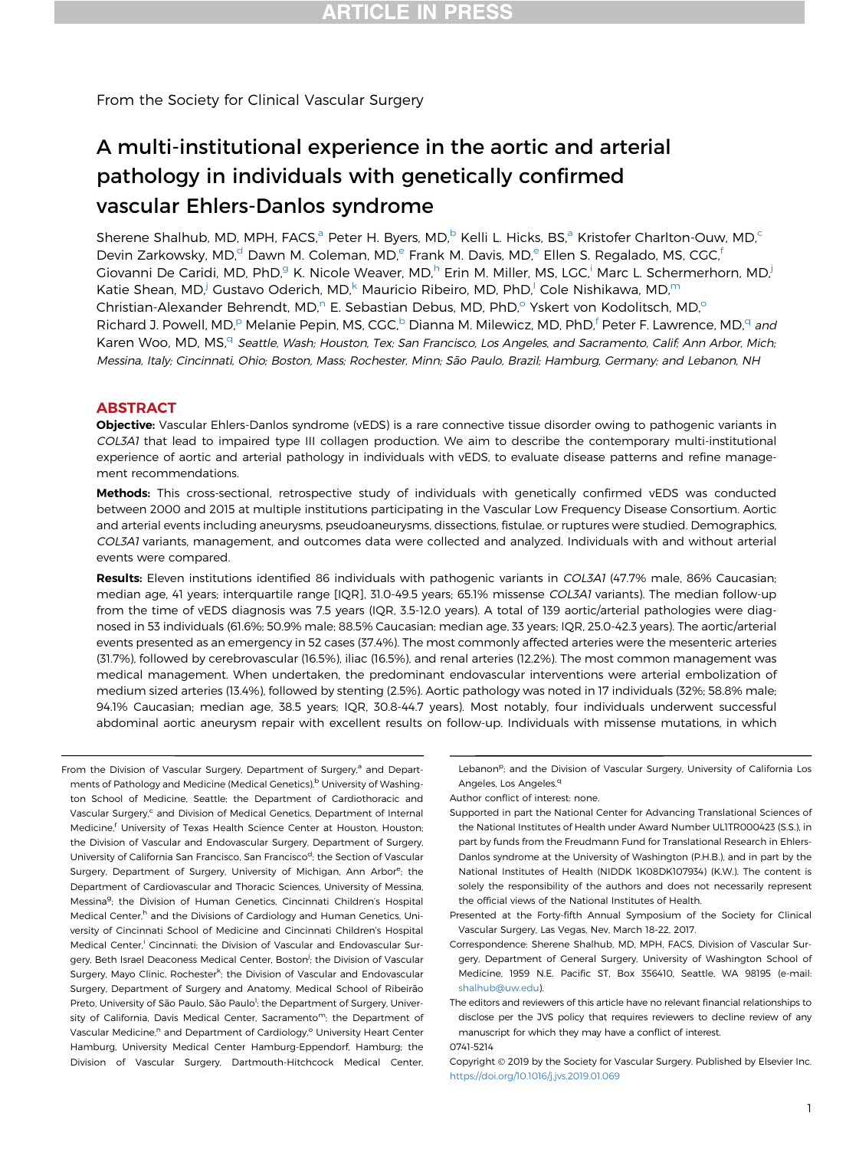From the Society for Clinical Vascular Surgery

# A multi-institutional experience in the aortic and arterial pathology in individuals with genetically confirmed vascular Ehlers-Danlos syndrome

Sherene Shalhub, MD, MPH, FACS,<sup>a</sup> Peter H. Byers, MD,<sup>b</sup> Kelli L. Hicks, BS,<sup>a</sup> Kristofer Charlton-Ouw, MD,<sup>c</sup> Devin Zarkowsky, MD,<sup>d</sup> Dawn M. Coleman, MD,<sup>e</sup> Frank M. Davis, MD,<sup>e</sup> Ellen S. Regalado, MS, CGC,<sup>f</sup> Giovanni De Caridi, MD, PhD,<sup>g</sup> K. Nicole Weaver, MD,<sup>h</sup> Erin M. Miller, MS, LGC,<sup>i</sup> Marc L. Schermerhorn, MD,<sup>j</sup> Katie Shean, MD,<sup>j</sup> Gustavo Oderich, MD,<sup>k</sup> Mauricio Ribeiro, MD, PhD,<sup>i</sup> Cole Nishikawa, MD,<sup>m</sup> Christian-Alexander Behrendt, MD,<sup>n</sup> E. Sebastian Debus, MD, PhD,<sup>o</sup> Yskert von Kodolitsch, MD,<sup>o</sup> Richard J. Powell, MD,<sup>p</sup> Melanie Pepin, MS, CGC,<sup>b</sup> Dianna M. Milewicz, MD, PhD,<sup>f</sup> Peter F. Lawrence, MD,<sup>q</sup> and Karen Woo, MD, MS,<sup>q</sup> Seattle, Wash; Houston, Tex; San Francisco, Los Angeles, and Sacramento, Calif; Ann Arbor, Mich; Messina, Italy; Cincinnati, Ohio; Boston, Mass; Rochester, Minn; São Paulo, Brazil; Hamburg, Germany; and Lebanon, NH

#### ABSTRACT

Objective: Vascular Ehlers-Danlos syndrome (vEDS) is a rare connective tissue disorder owing to pathogenic variants in COL3A1 that lead to impaired type III collagen production. We aim to describe the contemporary multi-institutional experience of aortic and arterial pathology in individuals with vEDS, to evaluate disease patterns and refine management recommendations.

Methods: This cross-sectional, retrospective study of individuals with genetically confirmed vEDS was conducted between 2000 and 2015 at multiple institutions participating in the Vascular Low Frequency Disease Consortium. Aortic and arterial events including aneurysms, pseudoaneurysms, dissections, fistulae, or ruptures were studied. Demographics, COL3A1 variants, management, and outcomes data were collected and analyzed. Individuals with and without arterial events were compared.

Results: Eleven institutions identified 86 individuals with pathogenic variants in COL3A1 (47.7% male, 86% Caucasian; median age, 41 years; interquartile range [IQR], 31.0-49.5 years; 65.1% missense COL3A1 variants). The median follow-up from the time of vEDS diagnosis was 7.5 years (IQR, 3.5-12.0 years). A total of 139 aortic/arterial pathologies were diagnosed in 53 individuals (61.6%; 50.9% male; 88.5% Caucasian; median age, 33 years; IQR, 25.0-42.3 years). The aortic/arterial events presented as an emergency in 52 cases (37.4%). The most commonly affected arteries were the mesenteric arteries (31.7%), followed by cerebrovascular (16.5%), iliac (16.5%), and renal arteries (12.2%). The most common management was medical management. When undertaken, the predominant endovascular interventions were arterial embolization of medium sized arteries (13.4%), followed by stenting (2.5%). Aortic pathology was noted in 17 individuals (32%; 58.8% male; 94.1% Caucasian; median age, 38.5 years; IQR, 30.8-44.7 years). Most notably, four individuals underwent successful abdominal aortic aneurysm repair with excellent results on follow-up. Individuals with missense mutations, in which

From the Division of Vascular Surgery, Department of Surgery,<sup>a</sup> and Departments of Pathology and Medicine (Medical Genetics),<sup>b</sup> University of Washington School of Medicine, Seattle; the Department of Cardiothoracic and Vascular Surgery,<sup>c</sup> and Division of Medical Genetics, Department of Internal Medicine,<sup>f</sup> University of Texas Health Science Center at Houston, Houston; the Division of Vascular and Endovascular Surgery, Department of Surgery, University of California San Francisco, San Francisco<sup>d</sup>; the Section of Vascular Surgery, Department of Surgery, University of Michigan, Ann Arbor<sup>e</sup>; the Department of Cardiovascular and Thoracic Sciences, University of Messina, Messina<sup>g</sup>; the Division of Human Genetics, Cincinnati Children's Hospital Medical Center,<sup>h</sup> and the Divisions of Cardiology and Human Genetics, University of Cincinnati School of Medicine and Cincinnati Children's Hospital Medical Center,<sup>i</sup> Cincinnati; the Division of Vascular and Endovascular Surgery, Beth Israel Deaconess Medical Center, Boston<sup>j</sup>; the Division of Vascular Surgery, Mayo Clinic, Rochester<sup>k</sup>; the Division of Vascular and Endovascular Surgery, Department of Surgery and Anatomy, Medical School of Ribeirão Preto, University of São Paulo, São Paulo<sup>!</sup>; the Department of Surgery, University of California, Davis Medical Center, Sacramento<sup>m</sup>; the Department of Vascular Medicine,<sup>n</sup> and Department of Cardiology,<sup>o</sup> University Heart Center Hamburg, University Medical Center Hamburg-Eppendorf, Hamburg; the Division of Vascular Surgery, Dartmouth-Hitchcock Medical Center,

Lebanon<sup>p</sup>; and the Division of Vascular Surgery, University of California Los Angeles, Los Angeles.<sup>q</sup>

Author conflict of interest: none.

- Supported in part the National Center for Advancing Translational Sciences of the National Institutes of Health under Award Number UL1TR000423 (S.S.), in part by funds from the Freudmann Fund for Translational Research in Ehlers-Danlos syndrome at the University of Washington (P.H.B.), and in part by the National Institutes of Health (NIDDK 1K08DK107934) (K.W.). The content is solely the responsibility of the authors and does not necessarily represent the official views of the National Institutes of Health.
- Presented at the Forty-fifth Annual Symposium of the Society for Clinical Vascular Surgery, Las Vegas, Nev, March 18-22, 2017.
- Correspondence: Sherene Shalhub, MD, MPH, FACS, Division of Vascular Surgery, Department of General Surgery, University of Washington School of Medicine, 1959 N.E. Pacific ST, Box 356410, Seattle, WA 98195 (e-mail: [shalhub@uw.edu](mailto:shalhub@uw.edu)).
- The editors and reviewers of this article have no relevant financial relationships to disclose per the JVS policy that requires reviewers to decline review of any manuscript for which they may have a conflict of interest.

0741-5214

Copyright 2019 by the Society for Vascular Surgery. Published by Elsevier Inc. <https://doi.org/10.1016/j.jvs.2019.01.069>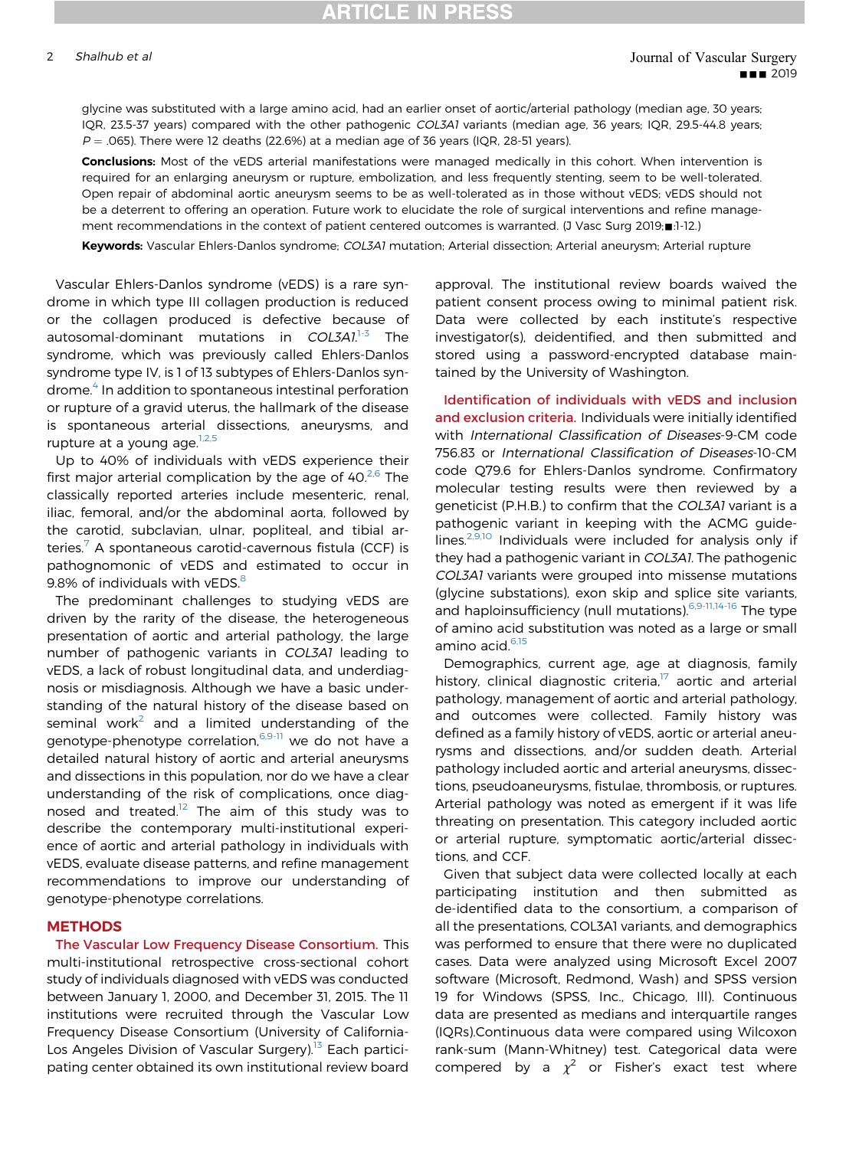glycine was substituted with a large amino acid, had an earlier onset of aortic/arterial pathology (median age, 30 years; IQR, 23.5-37 years) compared with the other pathogenic COL3A1 variants (median age, 36 years; IQR, 29.5-44.8 years;  $P = 0.065$ ). There were 12 deaths (22.6%) at a median age of 36 years (IQR, 28-51 years).

Conclusions: Most of the vEDS arterial manifestations were managed medically in this cohort. When intervention is required for an enlarging aneurysm or rupture, embolization, and less frequently stenting, seem to be well-tolerated. Open repair of abdominal aortic aneurysm seems to be as well-tolerated as in those without vEDS; vEDS should not be a deterrent to offering an operation. Future work to elucidate the role of surgical interventions and refine management recommendations in the context of patient centered outcomes is warranted. (J Vasc Surg 2019; .1-12.)

Keywords: Vascular Ehlers-Danlos syndrome; COL3A1 mutation; Arterial dissection; Arterial aneurysm; Arterial rupture

Vascular Ehlers-Danlos syndrome (vEDS) is a rare syndrome in which type III collagen production is reduced or the collagen produced is defective because of autosomal-dominant mutations in COL3A1.<sup>[1-3](#page-10-0)</sup> The syndrome, which was previously called Ehlers-Danlos syndrome type IV, is 1 of 13 subtypes of Ehlers-Danlos syndrome.[4](#page-10-0) In addition to spontaneous intestinal perforation or rupture of a gravid uterus, the hallmark of the disease is spontaneous arterial dissections, aneurysms, and rupture at a young age. $1,2,5$ 

Up to 40% of individuals with vEDS experience their first major arterial complication by the age of  $40<sup>2,6</sup>$  $40<sup>2,6</sup>$  $40<sup>2,6</sup>$  The classically reported arteries include mesenteric, renal, iliac, femoral, and/or the abdominal aorta, followed by the carotid, subclavian, ulnar, popliteal, and tibial arteries.[7](#page-10-0) A spontaneous carotid-cavernous fistula (CCF) is pathognomonic of vEDS and estimated to occur in 9.[8](#page-10-0)% of individuals with vEDS.<sup>8</sup>

The predominant challenges to studying vEDS are driven by the rarity of the disease, the heterogeneous presentation of aortic and arterial pathology, the large number of pathogenic variants in COL3A1 leading to vEDS, a lack of robust longitudinal data, and underdiagnosis or misdiagnosis. Although we have a basic understanding of the natural history of the disease based on seminal work<sup>2</sup> and a limited understanding of the genotype-phenotype correlation,<sup>[6,9-11](#page-10-0)</sup> we do not have a detailed natural history of aortic and arterial aneurysms and dissections in this population, nor do we have a clear understanding of the risk of complications, once diag-nosed and treated.<sup>[12](#page-10-0)</sup> The aim of this study was to describe the contemporary multi-institutional experience of aortic and arterial pathology in individuals with vEDS, evaluate disease patterns, and refine management recommendations to improve our understanding of genotype-phenotype correlations.

#### **METHODS**

The Vascular Low Frequency Disease Consortium. This multi-institutional retrospective cross-sectional cohort study of individuals diagnosed with vEDS was conducted between January 1, 2000, and December 31, 2015. The 11 institutions were recruited through the Vascular Low Frequency Disease Consortium (University of California-Los Angeles Division of Vascular Surgery).<sup>[13](#page-10-0)</sup> Each participating center obtained its own institutional review board

approval. The institutional review boards waived the patient consent process owing to minimal patient risk. Data were collected by each institute's respective investigator(s), deidentified, and then submitted and stored using a password-encrypted database maintained by the University of Washington.

Identification of individuals with vEDS and inclusion and exclusion criteria. Individuals were initially identified with International Classification of Diseases-9-CM code 756.83 or International Classification of Diseases-10-CM code Q79.6 for Ehlers-Danlos syndrome. Confirmatory molecular testing results were then reviewed by a geneticist (P.H.B.) to confirm that the COL3A1 variant is a pathogenic variant in keeping with the ACMG guidelines. $2,9,10$  Individuals were included for analysis only if they had a pathogenic variant in COL3A1. The pathogenic COL3A1 variants were grouped into missense mutations (glycine substations), exon skip and splice site variants, and haploinsufficiency (null mutations).<sup>[6,9-11,14-16](#page-10-0)</sup> The type of amino acid substitution was noted as a large or small amino acid.<sup>[6,15](#page-10-0)</sup>

Demographics, current age, age at diagnosis, family history, clinical diagnostic criteria, $17$  aortic and arterial pathology, management of aortic and arterial pathology, and outcomes were collected. Family history was defined as a family history of vEDS, aortic or arterial aneurysms and dissections, and/or sudden death. Arterial pathology included aortic and arterial aneurysms, dissections, pseudoaneurysms, fistulae, thrombosis, or ruptures. Arterial pathology was noted as emergent if it was life threating on presentation. This category included aortic or arterial rupture, symptomatic aortic/arterial dissections, and CCF.

Given that subject data were collected locally at each participating institution and then submitted as de-identified data to the consortium, a comparison of all the presentations, COL3A1 variants, and demographics was performed to ensure that there were no duplicated cases. Data were analyzed using Microsoft Excel 2007 software (Microsoft, Redmond, Wash) and SPSS version 19 for Windows (SPSS, Inc., Chicago, Ill). Continuous data are presented as medians and interquartile ranges (IQRs).Continuous data were compared using Wilcoxon rank-sum (Mann-Whitney) test. Categorical data were compered by a  $\chi^2$  or Fisher's exact test where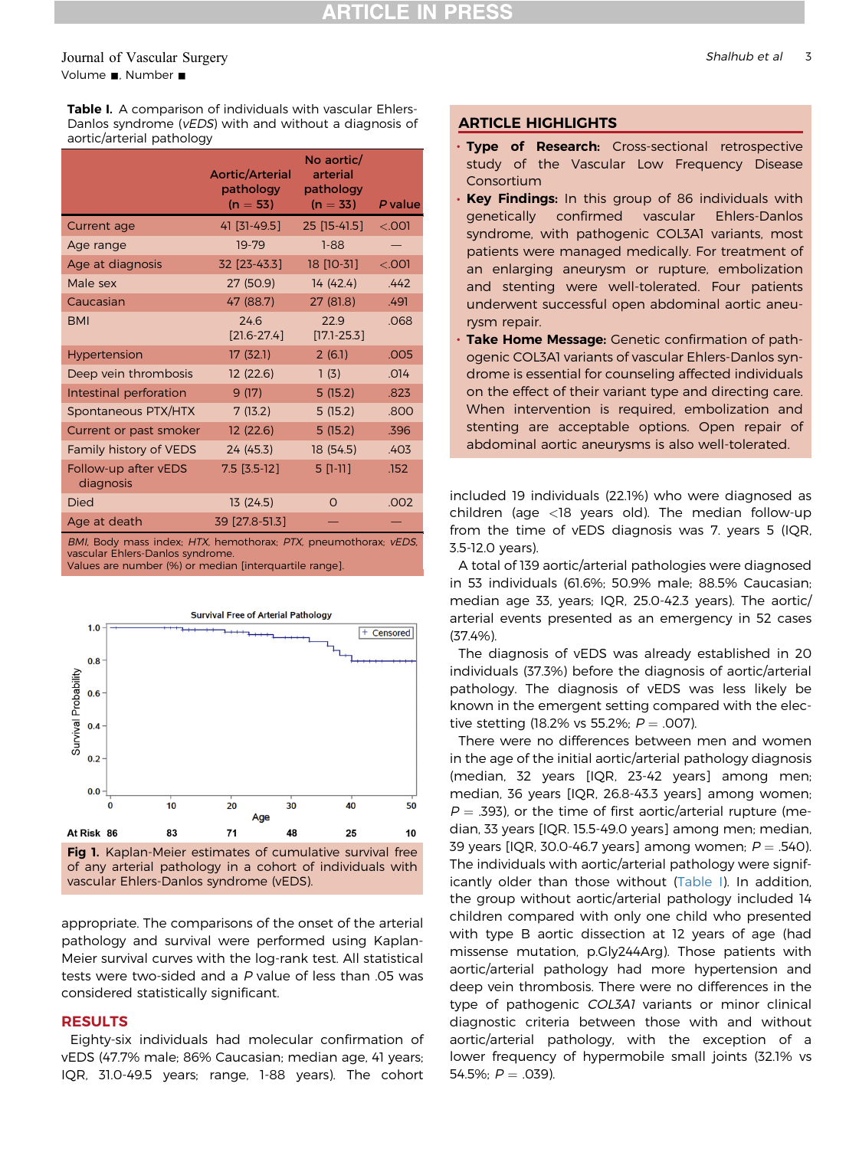#### <span id="page-2-0"></span>Journal of Vascular Surgery Shalhub et al 3 Volume **.**, Number **.**

Table I. A comparison of individuals with vascular Ehlers-Danlos syndrome (vEDS) with and without a diagnosis of aortic/arterial pathology

|                                   | <b>Aortic/Arterial</b><br>pathology<br>$(n = 53)$ | No aortic/<br>arterial<br>pathology<br>$(n = 33)$ | P value  |
|-----------------------------------|---------------------------------------------------|---------------------------------------------------|----------|
| Current age                       | 41 [31-49.5]                                      | $25$ [15-41.5]                                    | $<$ .001 |
| Age range                         | 19-79                                             | $1 - 88$                                          |          |
| Age at diagnosis                  | 32 [23-43.3]                                      | 18 [10-31]                                        | $<$ .001 |
| Male sex                          | 27 (50.9)                                         | 14 (42.4)                                         | .442     |
| Caucasian                         | 47 (88.7)                                         | 27 (81.8)                                         | .491     |
| <b>BMI</b>                        | 24.6<br>$[21.6 - 27.4]$                           | 22.9<br>$[17.1 - 25.3]$                           | .068     |
| <b>Hypertension</b>               | 17 (32.1)                                         | 2(6.1)                                            | .005     |
| Deep vein thrombosis              | 12(22.6)                                          | 1(3)                                              | .014     |
| Intestinal perforation            | 9(17)                                             | 5(15.2)                                           | .823     |
| Spontaneous PTX/HTX               | 7(13.2)                                           | 5(15.2)                                           | .800     |
| Current or past smoker            | 12(22.6)                                          | 5(15.2)                                           | .396     |
| Family history of VEDS            | 24 (45.3)                                         | 18 (54.5)                                         | .403     |
| Follow-up after vEDS<br>diagnosis | $7.5$ [3.5-12]                                    | $5$ [1-11]                                        | .152     |
| Died                              | 13(24.5)                                          | O                                                 | .002     |
| Age at death                      | 39 [27.8-51.3]                                    |                                                   |          |

BMI, Body mass index; HTX, hemothorax; PTX, pneumothorax; vEDS, vascular Ehlers-Danlos syndrome.

Values are number (%) or median [interquartile range].





appropriate. The comparisons of the onset of the arterial pathology and survival were performed using Kaplan-Meier survival curves with the log-rank test. All statistical tests were two-sided and a <sup>P</sup> value of less than .05 was considered statistically significant.

#### RESULTS

Eighty-six individuals had molecular confirmation of vEDS (47.7% male; 86% Caucasian; median age, 41 years; IQR, 31.0-49.5 years; range, 1-88 years). The cohort

#### ARTICLE HIGHLIGHTS

- · Type of Research: Cross-sectional retrospective study of the Vascular Low Frequency Disease Consortium
- . Key Findings: In this group of 86 individuals with genetically confirmed vascular Ehlers-Danlos syndrome, with pathogenic COL3A1 variants, most patients were managed medically. For treatment of an enlarging aneurysm or rupture, embolization and stenting were well-tolerated. Four patients underwent successful open abdominal aortic aneurysm repair.
- Take Home Message: Genetic confirmation of pathogenic COL3A1 variants of vascular Ehlers-Danlos syndrome is essential for counseling affected individuals on the effect of their variant type and directing care. When intervention is required, embolization and stenting are acceptable options. Open repair of abdominal aortic aneurysms is also well-tolerated.

included 19 individuals (22.1%) who were diagnosed as children (age <18 years old). The median follow-up from the time of vEDS diagnosis was 7. years 5 (IQR, 3.5-12.0 years).

A total of 139 aortic/arterial pathologies were diagnosed in 53 individuals (61.6%; 50.9% male; 88.5% Caucasian; median age 33, years; IQR, 25.0-42.3 years). The aortic/ arterial events presented as an emergency in 52 cases (37.4%).

The diagnosis of vEDS was already established in 20 individuals (37.3%) before the diagnosis of aortic/arterial pathology. The diagnosis of vEDS was less likely be known in the emergent setting compared with the elective stetting (18.2% vs 55.2%;  $P = .007$ ).

There were no differences between men and women in the age of the initial aortic/arterial pathology diagnosis (median, 32 years [IQR, 23-42 years] among men; median, 36 years [IQR, 26.8-43.3 years] among women;  $P = 0.393$ ), or the time of first aortic/arterial rupture (median, 33 years [IQR. 15.5-49.0 years] among men; median, 39 years [IQR, 30.0-46.7 years] among women;  $P = .540$ ). The individuals with aortic/arterial pathology were significantly older than those without (Table I). In addition, the group without aortic/arterial pathology included 14 children compared with only one child who presented with type B aortic dissection at 12 years of age (had missense mutation, p.Gly244Arg). Those patients with aortic/arterial pathology had more hypertension and deep vein thrombosis. There were no differences in the type of pathogenic COL3A1 variants or minor clinical diagnostic criteria between those with and without aortic/arterial pathology, with the exception of a lower frequency of hypermobile small joints (32.1% vs 54.5%;  $P = .039$ ).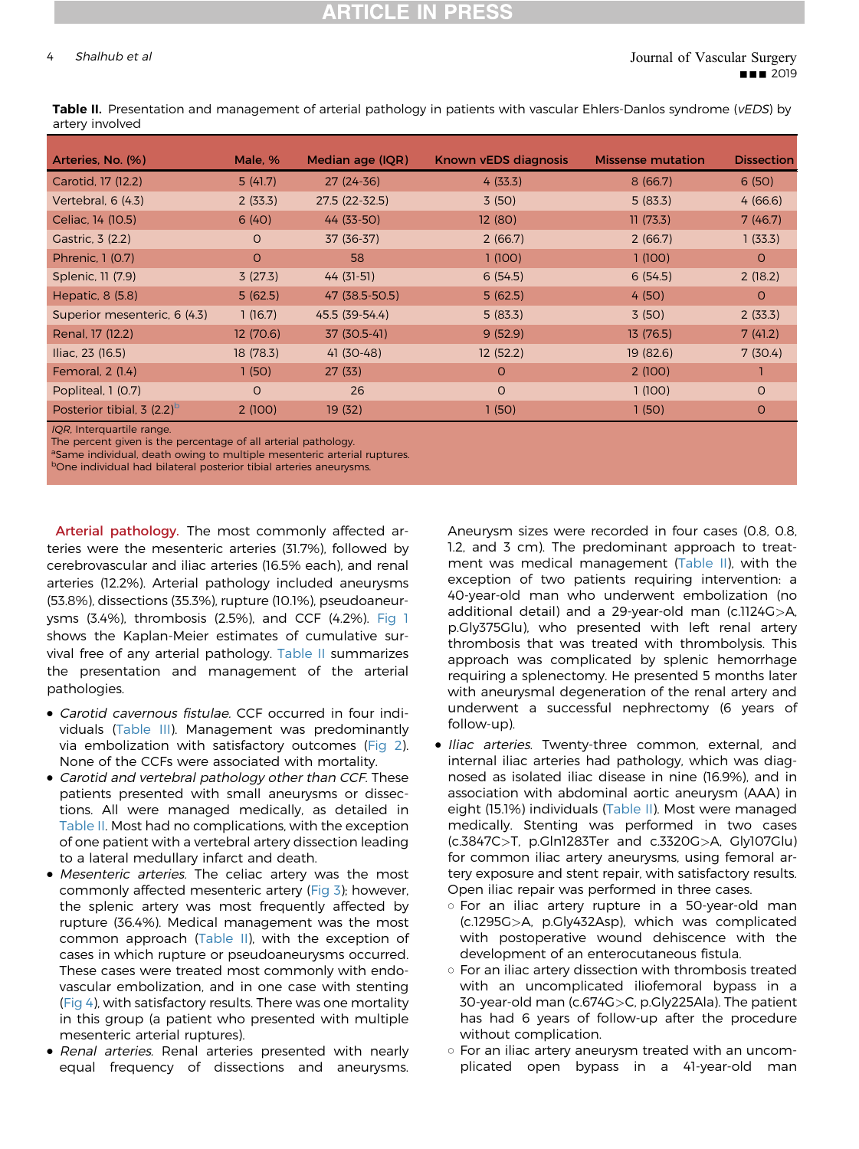#### A Shalhub et al Journal of Vascular Surgery **BB** 2019

Table II. Presentation and management of arterial pathology in patients with vascular Ehlers-Danlos syndrome (vEDS) by artery involved

| Arteries, No. (%)                        | Male, %   | Median age (IQR) | Known vEDS diagnosis | <b>Missense mutation</b> | <b>Dissection</b> |
|------------------------------------------|-----------|------------------|----------------------|--------------------------|-------------------|
| Carotid, 17 (12.2)                       | 5(41.7)   | $27(24-36)$      | 4(33.3)              | 8(66.7)                  | 6(50)             |
| Vertebral, 6 (4.3)                       | 2(33.3)   | 27.5 (22-32.5)   | 3(50)                | 5(83.3)                  | 4(66.6)           |
| Celiac, 14 (10.5)                        | 6(40)     | 44 (33-50)       | 12(80)               | 11(73.3)                 | 7(46.7)           |
| Gastric, 3 (2.2)                         | $\Omega$  | 37 (36-37)       | 2(66.7)              | 2(66.7)                  | 1(33.3)           |
| Phrenic, 1 (0.7)                         | $\Omega$  | 58               | 1(100)               | 1(100)                   | $\Omega$          |
| Splenic, 11 (7.9)                        | 3(27.3)   | 44 (31-51)       | 6(54.5)              | 6(54.5)                  | 2(18.2)           |
| Hepatic, 8 (5.8)                         | 5(62.5)   | 47 (38.5-50.5)   | 5(62.5)              | 4(50)                    | O                 |
| Superior mesenteric, 6 (4.3)             | 1(16.7)   | 45.5 (39-54.4)   | 5(83.3)              | 3(50)                    | 2(33.3)           |
| Renal, 17 (12.2)                         | 12(70.6)  | 37 (30.5-41)     | 9(52.9)              | 13 (76.5)                | 7(41.2)           |
| Iliac, 23 (16.5)                         | 18 (78.3) | 41 (30-48)       | 12(52.2)             | 19 (82.6)                | 7(30.4)           |
| Femoral, 2 (1.4)                         | 1(50)     | 27(33)           | $\circ$              | 2(100)                   |                   |
| Popliteal, 1 (0.7)                       | $\Omega$  | 26               | $\Omega$             | 1(100)                   | $\Omega$          |
| Posterior tibial, 3 $(2.2)$ <sup>o</sup> | 2(100)    | 19 (32)          | 1(50)                | 1(50)                    | O                 |
| $IOP$ Interguartile range                |           |                  |                      |                          |                   |

IQR, Interquartile range.

The percent given is the percentage of all arterial pathology.

aSame individual, death owing to multiple mesenteric arterial ruptures.

bOne individual had bilateral posterior tibial arteries aneurysms.

Arterial pathology. The most commonly affected arteries were the mesenteric arteries (31.7%), followed by cerebrovascular and iliac arteries (16.5% each), and renal arteries (12.2%). Arterial pathology included aneurysms (53.8%), dissections (35.3%), rupture (10.1%), pseudoaneurysms (3.4%), thrombosis (2.5%), and CCF (4.2%). [Fig 1](#page-2-0) shows the Kaplan-Meier estimates of cumulative survival free of any arterial pathology. Table II summarizes the presentation and management of the arterial pathologies.

- Carotid cavernous fistulae. CCF occurred in four individuals [\(Table III](#page-4-0)). Management was predominantly via embolization with satisfactory outcomes [\(Fig 2\)](#page-5-0). None of the CCFs were associated with mortality.
- Carotid and vertebral pathology other than CCF. These patients presented with small aneurysms or dissections. All were managed medically, as detailed in Table II. Most had no complications, with the exception of one patient with a vertebral artery dissection leading to a lateral medullary infarct and death.
- Mesenteric arteries. The celiac artery was the most commonly affected mesenteric artery ([Fig 3](#page-5-0)); however, the splenic artery was most frequently affected by rupture (36.4%). Medical management was the most common approach (Table II), with the exception of cases in which rupture or pseudoaneurysms occurred. These cases were treated most commonly with endovascular embolization, and in one case with stenting [\(Fig 4\)](#page-6-0), with satisfactory results. There was one mortality in this group (a patient who presented with multiple mesenteric arterial ruptures).
- Renal arteries. Renal arteries presented with nearly equal frequency of dissections and aneurysms.

Aneurysm sizes were recorded in four cases (0.8, 0.8, 1.2, and 3 cm). The predominant approach to treatment was medical management (Table II), with the exception of two patients requiring intervention: a 40-year-old man who underwent embolization (no additional detail) and a 29-year-old man (c.1124G>A, p.Gly375Glu), who presented with left renal artery thrombosis that was treated with thrombolysis. This approach was complicated by splenic hemorrhage requiring a splenectomy. He presented 5 months later with aneurysmal degeneration of the renal artery and underwent a successful nephrectomy (6 years of follow-up).

- Iliac arteries. Twenty-three common, external, and internal iliac arteries had pathology, which was diagnosed as isolated iliac disease in nine (16.9%), and in association with abdominal aortic aneurysm (AAA) in eight (15.1%) individuals (Table II). Most were managed medically. Stenting was performed in two cases (c.3847C>T, p.Gln1283Ter and c.3320G>A, Gly107Glu) for common iliac artery aneurysms, using femoral artery exposure and stent repair, with satisfactory results. Open iliac repair was performed in three cases.
	- o For an iliac artery rupture in a 50-year-old man (c.1295G>A, p.Gly432Asp), which was complicated with postoperative wound dehiscence with the development of an enterocutaneous fistula.
	- o For an iliac artery dissection with thrombosis treated with an uncomplicated iliofemoral bypass in a 30-year-old man (c.674G>C, p.Gly225Ala). The patient has had 6 years of follow-up after the procedure without complication.
	- o For an iliac artery aneurysm treated with an uncomplicated open bypass in a 41-year-old man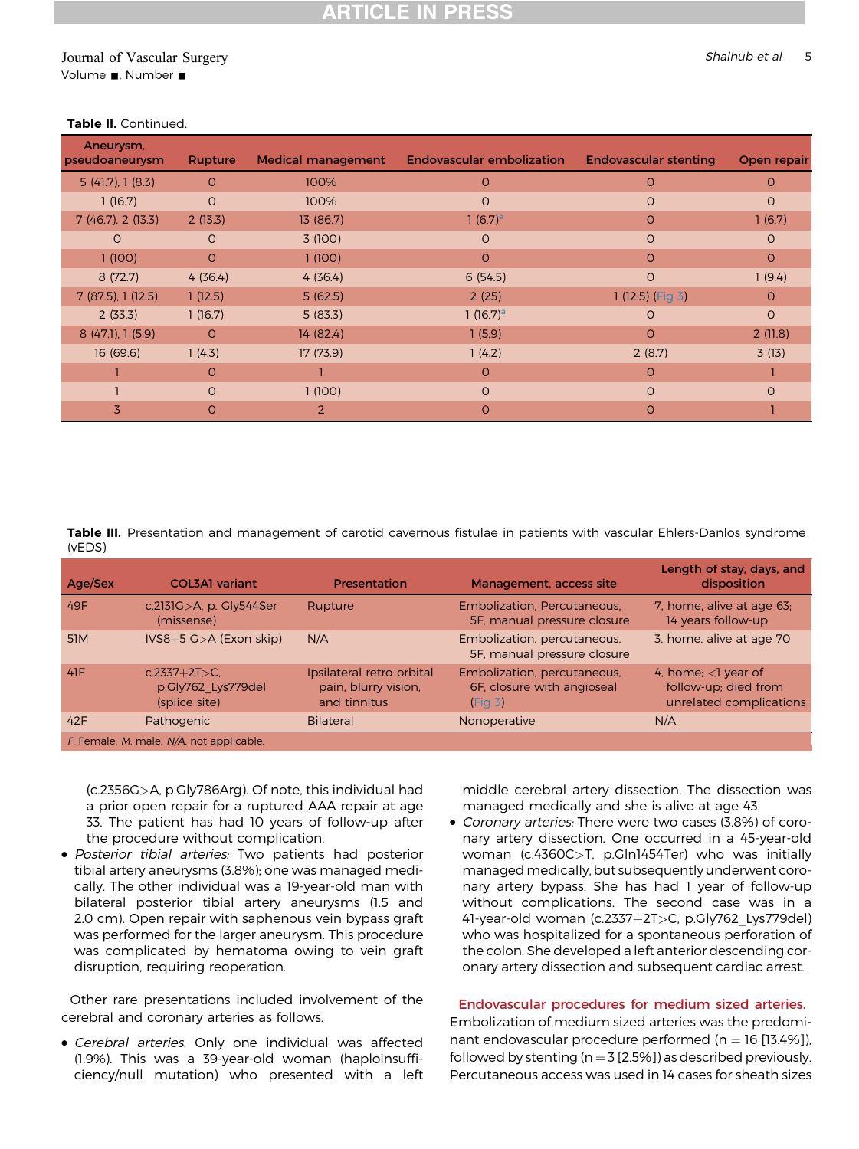### <span id="page-4-0"></span>Journal of Vascular Surgery Shalhub et al 5 Volume , Number  $\blacksquare$

| Aneurysm,<br>pseudoaneurysm | Rupture  | <b>Medical management</b> | <b>Endovascular embolization</b> | <b>Endovascular stenting</b> | Open repair |
|-----------------------------|----------|---------------------------|----------------------------------|------------------------------|-------------|
| 5(41.7), 1(8.3)             | $\Omega$ | 100%                      | O                                | $\Omega$                     | $\Omega$    |
| 1(16.7)                     | $\Omega$ | 100%                      | O                                | $\circ$                      | $\circ$     |
| 7(46.7), 2(13.3)            | 2(13.3)  | 13 (86.7)                 | 1 $(6.7)^a$                      | $\Omega$                     | 1(6.7)      |
| $\Omega$                    | $\Omega$ | 3(100)                    | O                                | $\circ$                      | $\circ$     |
| 1(100)                      | $\Omega$ | 1(100)                    | $\Omega$                         | $\Omega$                     | $\Omega$    |
| 8(72.7)                     | 4(36.4)  | 4(36.4)                   | 6(54.5)                          | $\circ$                      | 1(9.4)      |
| 7(87.5), 1(12.5)            | 1(12.5)  | 5(62.5)                   | 2(25)                            | 1 (12.5) (Fig 3)             | $\Omega$    |
| 2(33.3)                     | 1(16.7)  | 5(83.3)                   | 1 $(16.7)^a$                     | $\Omega$                     | $\circ$     |
| 8 (47.1), 1 (5.9)           | $\Omega$ | 14 (82.4)                 | 1(5.9)                           | $\Omega$                     | 2(11.8)     |
| 16(69.6)                    | 1(4.3)   | 17 (73.9)                 | 1(4.2)                           | 2(8.7)                       | 3(13)       |
|                             | O        |                           | $\Omega$                         | $\Omega$                     |             |
|                             | $\Omega$ | 1(100)                    | O                                | $\Omega$                     | $\Omega$    |
| $\overline{5}$              | O        | 2                         | O                                | $\Omega$                     |             |

#### Table II. Continued.

Table III. Presentation and management of carotid cavernous fistulae in patients with vascular Ehlers-Danlos syndrome (vEDS)

| Age/Sex         | <b>COL3A1</b> variant                                 | Presentation                                                      | Management, access site                                              | Length of stay, days, and<br>disposition                                  |
|-----------------|-------------------------------------------------------|-------------------------------------------------------------------|----------------------------------------------------------------------|---------------------------------------------------------------------------|
| 49F             | c.2131G>A, p. Gly544Ser<br>(missense)                 | Rupture                                                           | Embolization, Percutaneous,<br>5F, manual pressure closure           | 7, home, alive at age 63;<br>14 years follow-up                           |
| 51 <sub>M</sub> | $IVS8+5 G > A$ (Exon skip)                            | N/A                                                               | Embolization, percutaneous,<br>5F, manual pressure closure           | 3, home, alive at age 70                                                  |
| 41F             | $c.2337+2T>C.$<br>p.Gly762 Lys779del<br>(splice site) | Ipsilateral retro-orbital<br>pain, blurry vision,<br>and tinnitus | Embolization, percutaneous,<br>6F, closure with angioseal<br>(Fiq 3) | 4, home; $<$ l year of<br>follow-up; died from<br>unrelated complications |
| 42F             | Pathogenic                                            | <b>Bilateral</b>                                                  | Nonoperative                                                         | N/A                                                                       |
|                 | F, Female; M, male; N/A, not applicable.              |                                                                   |                                                                      |                                                                           |

(c.2356G>A, p.Gly786Arg). Of note, this individual had a prior open repair for a ruptured AAA repair at age 33. The patient has had 10 years of follow-up after the procedure without complication.

• Posterior tibial arteries: Two patients had posterior tibial artery aneurysms (3.8%); one was managed medically. The other individual was a 19-year-old man with bilateral posterior tibial artery aneurysms (1.5 and 2.0 cm). Open repair with saphenous vein bypass graft was performed for the larger aneurysm. This procedure was complicated by hematoma owing to vein graft disruption, requiring reoperation.

Other rare presentations included involvement of the cerebral and coronary arteries as follows.

• Cerebral arteries. Only one individual was affected (1.9%). This was a 39-year-old woman (haploinsufficiency/null mutation) who presented with a left middle cerebral artery dissection. The dissection was managed medically and she is alive at age 43.

• Coronary arteries: There were two cases (3.8%) of coronary artery dissection. One occurred in a 45-year-old woman (c.4360C>T, p.Gln1454Ter) who was initially managed medically, but subsequently underwent coronary artery bypass. She has had 1 year of follow-up without complications. The second case was in a 41-year-old woman (c.2337+2T>C, p.Gly762 Lys779del) who was hospitalized for a spontaneous perforation of the colon. She developed a left anterior descending coronary artery dissection and subsequent cardiac arrest.

### Endovascular procedures for medium sized arteries.

Embolization of medium sized arteries was the predominant endovascular procedure performed ( $n = 16$  [13.4%]), followed by stenting ( $n = 3$  [2.5%]) as described previously. Percutaneous access was used in 14 cases for sheath sizes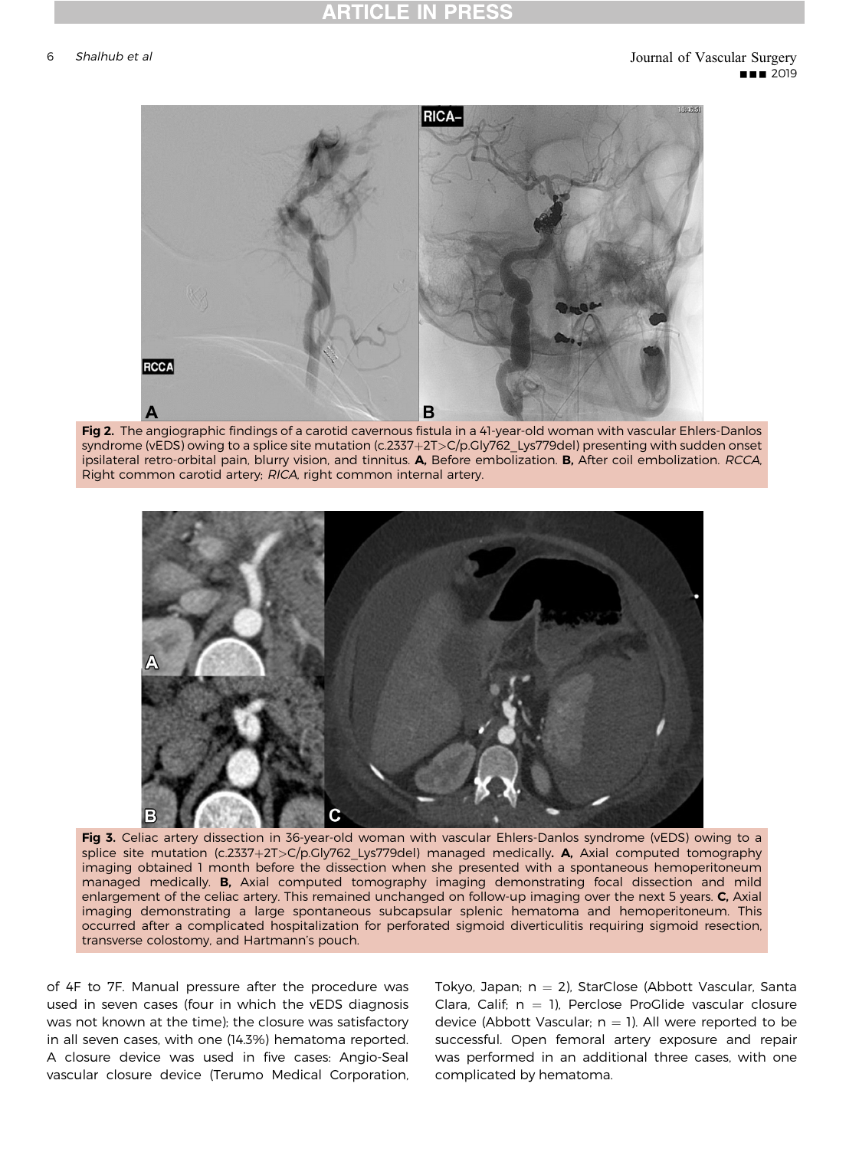<span id="page-5-0"></span>

Fig 2. The angiographic findings of a carotid cavernous fistula in a 41-year-old woman with vascular Ehlers-Danlos syndrome (vEDS) owing to a splice site mutation (c.2337+2T>C/p.Gly762\_Lys779del) presenting with sudden onset ipsilateral retro-orbital pain, blurry vision, and tinnitus. A, Before embolization. B, After coil embolization. RCCA, Right common carotid artery; RICA, right common internal artery.



Fig 3. Celiac artery dissection in 36-year-old woman with vascular Ehlers-Danlos syndrome (vEDS) owing to a splice site mutation (c.2337+2T>C/p.Gly762\_Lys779del) managed medically. A, Axial computed tomography imaging obtained 1 month before the dissection when she presented with a spontaneous hemoperitoneum managed medically. B, Axial computed tomography imaging demonstrating focal dissection and mild enlargement of the celiac artery. This remained unchanged on follow-up imaging over the next 5 years. C, Axial imaging demonstrating a large spontaneous subcapsular splenic hematoma and hemoperitoneum. This occurred after a complicated hospitalization for perforated sigmoid diverticulitis requiring sigmoid resection, transverse colostomy, and Hartmann's pouch.

of 4F to 7F. Manual pressure after the procedure was used in seven cases (four in which the vEDS diagnosis was not known at the time); the closure was satisfactory in all seven cases, with one (14.3%) hematoma reported. A closure device was used in five cases: Angio-Seal vascular closure device (Terumo Medical Corporation,

Tokyo, Japan;  $n = 2$ ), StarClose (Abbott Vascular, Santa Clara, Calif:  $n = 1$ ), Perclose ProGlide vascular closure device (Abbott Vascular;  $n = 1$ ). All were reported to be successful. Open femoral artery exposure and repair was performed in an additional three cases, with one complicated by hematoma.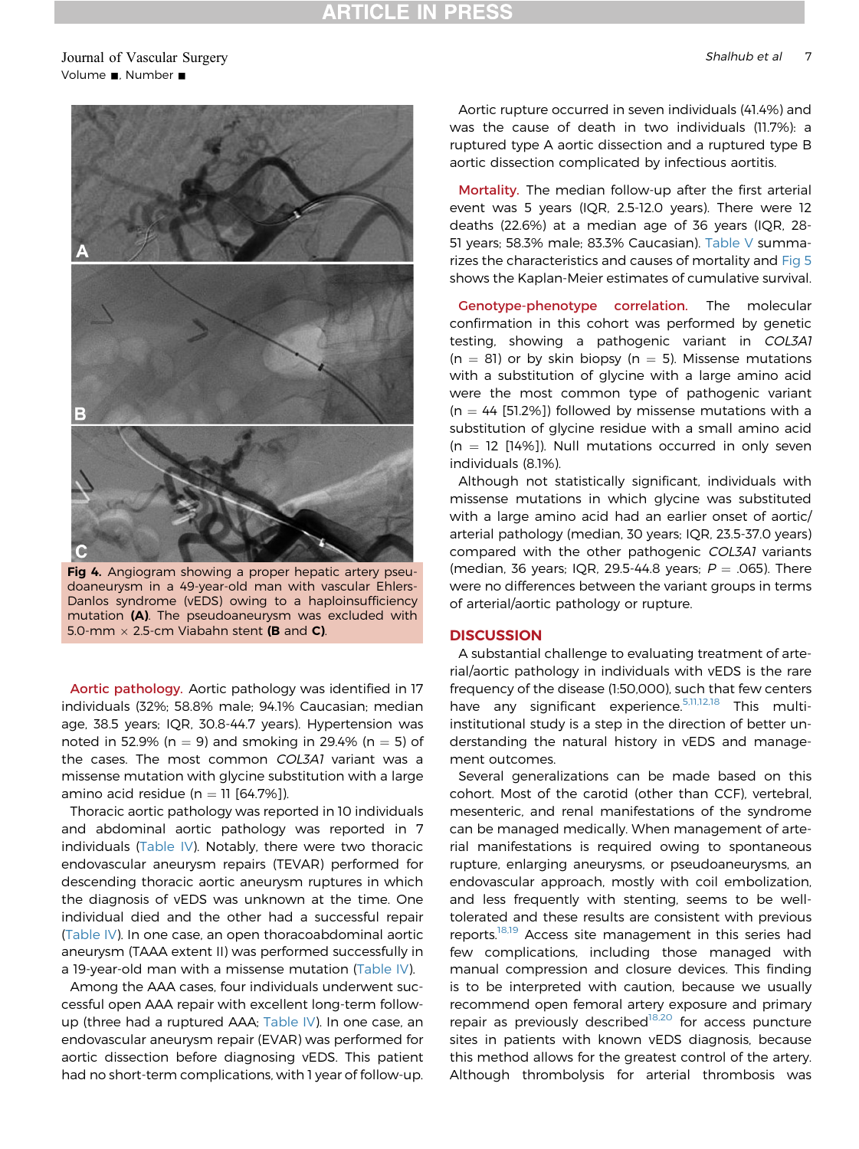## **ATICLE IN PRESS**

#### <span id="page-6-0"></span>Journal of Vascular Surgery Shalhub et al 7 Shalhub et al 7 Shalhub et al 7 Shalhub et al 7 Shalhub et al 7 Shalhub et al 7 Shalhub et al 7 Shalhub et al 7 Shalhub et al 7 Shalhub et al 7 Shalhub et al 7 Shalhub et al 7 Sh Volume , Number  $\blacksquare$



Fig 4. Angiogram showing a proper hepatic artery pseudoaneurysm in a 49-year-old man with vascular Ehlers-Danlos syndrome (vEDS) owing to a haploinsufficiency mutation (A). The pseudoaneurysm was excluded with 5.0-mm  $\times$  2.5-cm Viabahn stent **(B** and **C)**.

Aortic pathology. Aortic pathology was identified in 17 individuals (32%; 58.8% male; 94.1% Caucasian; median age, 38.5 years; IQR, 30.8-44.7 years). Hypertension was noted in 52.9% (n = 9) and smoking in 29.4% (n = 5) of the cases. The most common COL3A1 variant was a missense mutation with glycine substitution with a large amino acid residue ( $n = 11$  [64.7%]).

Thoracic aortic pathology was reported in 10 individuals and abdominal aortic pathology was reported in 7 individuals [\(Table IV](#page-7-0)). Notably, there were two thoracic endovascular aneurysm repairs (TEVAR) performed for descending thoracic aortic aneurysm ruptures in which the diagnosis of vEDS was unknown at the time. One individual died and the other had a successful repair ([Table IV](#page-7-0)). In one case, an open thoracoabdominal aortic aneurysm (TAAA extent II) was performed successfully in a 19-year-old man with a missense mutation [\(Table IV](#page-7-0)).

Among the AAA cases, four individuals underwent successful open AAA repair with excellent long-term followup (three had a ruptured AAA; [Table IV\)](#page-7-0). In one case, an endovascular aneurysm repair (EVAR) was performed for aortic dissection before diagnosing vEDS. This patient had no short-term complications, with 1 year of follow-up.

Aortic rupture occurred in seven individuals (41.4%) and was the cause of death in two individuals (11.7%): a ruptured type A aortic dissection and a ruptured type B aortic dissection complicated by infectious aortitis.

Mortality. The median follow-up after the first arterial event was 5 years (IQR, 2.5-12.0 years). There were 12 deaths (22.6%) at a median age of 36 years (IQR, 28- 51 years; 58.3% male; 83.3% Caucasian). [Table V](#page-8-0) summarizes the characteristics and causes of mortality and [Fig 5](#page-8-0) shows the Kaplan-Meier estimates of cumulative survival.

Genotype-phenotype correlation. The molecular confirmation in this cohort was performed by genetic testing, showing a pathogenic variant in COL3A1  $(n = 81)$  or by skin biopsy (n = 5). Missense mutations with a substitution of glycine with a large amino acid were the most common type of pathogenic variant  $(n = 44 [51.2\%)$ ) followed by missense mutations with a substitution of glycine residue with a small amino acid  $(n = 12$  [14%]). Null mutations occurred in only seven individuals (8.1%).

Although not statistically significant, individuals with missense mutations in which glycine was substituted with a large amino acid had an earlier onset of aortic/ arterial pathology (median, 30 years; IQR, 23.5-37.0 years) compared with the other pathogenic COL3A1 variants (median, 36 years; IQR, 29.5-44.8 years;  $P = .065$ ). There were no differences between the variant groups in terms of arterial/aortic pathology or rupture.

#### **DISCUSSION**

A substantial challenge to evaluating treatment of arterial/aortic pathology in individuals with vEDS is the rare frequency of the disease (1:50,000), such that few centers have any significant experience.<sup>[5,11,12,18](#page-10-0)</sup> This multiinstitutional study is a step in the direction of better understanding the natural history in vEDS and management outcomes.

Several generalizations can be made based on this cohort. Most of the carotid (other than CCF), vertebral, mesenteric, and renal manifestations of the syndrome can be managed medically. When management of arterial manifestations is required owing to spontaneous rupture, enlarging aneurysms, or pseudoaneurysms, an endovascular approach, mostly with coil embolization, and less frequently with stenting, seems to be welltolerated and these results are consistent with previous reports.<sup>[18,19](#page-10-0)</sup> Access site management in this series had few complications, including those managed with manual compression and closure devices. This finding is to be interpreted with caution, because we usually recommend open femoral artery exposure and primary repair as previously described<sup>[18,20](#page-10-0)</sup> for access puncture sites in patients with known vEDS diagnosis, because this method allows for the greatest control of the artery. Although thrombolysis for arterial thrombosis was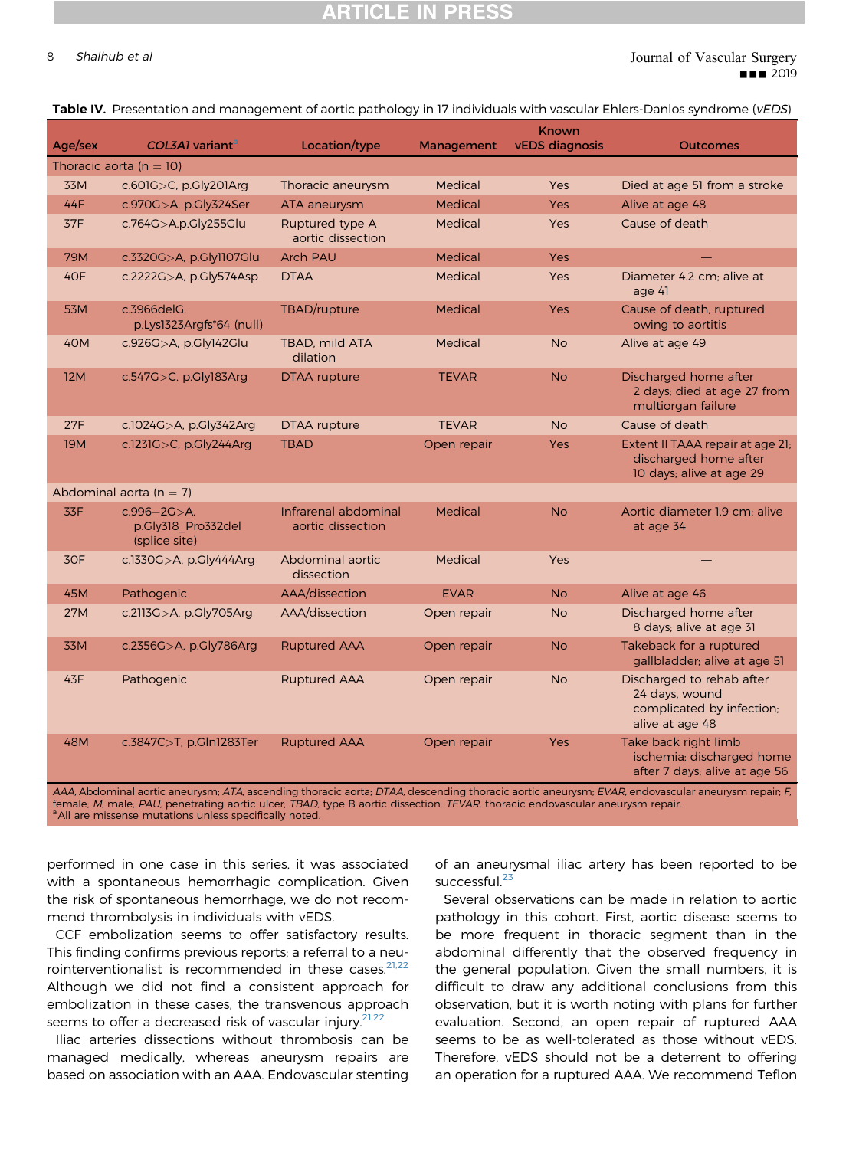## **RTICLE IN PRESS**

#### <span id="page-7-0"></span>8 Shalhub et al  $\blacksquare$  Shalhub et al  $\blacksquare$ **BB** 2019

|  | Table IV. Presentation and management of aortic pathology in 17 individuals with vascular Ehlers-Danlos syndrome (vEDS) |  |  |  |  |  |
|--|-------------------------------------------------------------------------------------------------------------------------|--|--|--|--|--|
|--|-------------------------------------------------------------------------------------------------------------------------|--|--|--|--|--|

| Age/sex    | COL3A1 variant <sup>a</sup>                              | Location/type                             | Management     | Known<br><b>vEDS</b> diagnosis | <b>Outcomes</b>                                                                             |
|------------|----------------------------------------------------------|-------------------------------------------|----------------|--------------------------------|---------------------------------------------------------------------------------------------|
|            | Thoracic aorta ( $n = 10$ )                              |                                           |                |                                |                                                                                             |
| 33M        | $c.601G > C$ , p.Cly201Arg                               | Thoracic aneurysm                         | Medical        | Yes                            | Died at age 51 from a stroke                                                                |
| 44F        | c.970G>A, p.Gly324Ser                                    | ATA aneurysm                              | <b>Medical</b> | <b>Yes</b>                     | Alive at age 48                                                                             |
| 37F        | c.764G>A,p.Gly255Glu                                     | Ruptured type A<br>aortic dissection      | Medical        | <b>Yes</b>                     | Cause of death                                                                              |
| 79M        | c.3320G>A, p.Gly1107Glu                                  | <b>Arch PAU</b>                           | <b>Medical</b> | <b>Yes</b>                     |                                                                                             |
| 40F        | c.2222G>A, p.Gly574Asp                                   | <b>DTAA</b>                               | Medical        | Yes                            | Diameter 4.2 cm; alive at<br>age 41                                                         |
| 53M        | c.3966delG.<br>p.Lys1323Argfs*64 (null)                  | TBAD/rupture                              | Medical        | <b>Yes</b>                     | Cause of death, ruptured<br>owing to aortitis                                               |
| 40M        | c.926G>A, p.Gly142Glu                                    | <b>TBAD, mild ATA</b><br>dilation         | Medical        | <b>No</b>                      | Alive at age 49                                                                             |
| <b>12M</b> | c.547G>C, p.Gly183Arg                                    | DTAA rupture                              | <b>TEVAR</b>   | <b>No</b>                      | Discharged home after<br>2 days; died at age 27 from<br>multiorgan failure                  |
| 27F        | c.1024G>A, p.Gly342Arg                                   | <b>DTAA</b> rupture                       | <b>TEVAR</b>   | <b>No</b>                      | Cause of death                                                                              |
| <b>19M</b> | c.1231G>C, p.Gly244Arg                                   | <b>TBAD</b>                               | Open repair    | Yes                            | Extent II TAAA repair at age 21;<br>discharged home after<br>10 days; alive at age 29       |
|            | Abdominal aorta ( $n = 7$ )                              |                                           |                |                                |                                                                                             |
| 33F        | $c.996 + 2C > A.$<br>p.Gly318 Pro332del<br>(splice site) | Infrarenal abdominal<br>aortic dissection | Medical        | <b>No</b>                      | Aortic diameter 1.9 cm: alive<br>at age 34                                                  |
| 30F        | c.1330G>A, p.Gly444Arg                                   | Abdominal aortic<br>dissection            | Medical        | <b>Yes</b>                     |                                                                                             |
| 45M        | Pathogenic                                               | AAA/dissection                            | <b>EVAR</b>    | <b>No</b>                      | Alive at age 46                                                                             |
| <b>27M</b> | c.2113G>A, p.Gly705Arg                                   | AAA/dissection                            | Open repair    | <b>No</b>                      | Discharged home after<br>8 days; alive at age 31                                            |
| 33M        | c.2356G>A, p.Gly786Arg                                   | <b>Ruptured AAA</b>                       | Open repair    | <b>No</b>                      | Takeback for a ruptured<br>gallbladder; alive at age 51                                     |
| 43F        | Pathogenic                                               | <b>Ruptured AAA</b>                       | Open repair    | <b>No</b>                      | Discharged to rehab after<br>24 days, wound<br>complicated by infection;<br>alive at age 48 |
| 48M        | c.3847C>T, p.Gln1283Ter                                  | <b>Ruptured AAA</b>                       | Open repair    | <b>Yes</b>                     | Take back right limb<br>ischemia; discharged home<br>after 7 days; alive at age 56          |

AAA, Abdominal aortic aneurysm; ATA, ascending thoracic aorta; DTAA, descending thoracic aortic aneurysm; EVAR, endovascular aneurysm repair; F, female; M, male; PAU, penetrating aortic ulcer; TBAD, type B aortic dissection; TEVAR, thoracic endovascular aneurysm repair.<br><sup>a</sup>All are missense mutations unless specifically noted.

performed in one case in this series, it was associated with a spontaneous hemorrhagic complication. Given the risk of spontaneous hemorrhage, we do not recommend thrombolysis in individuals with vEDS.

CCF embolization seems to offer satisfactory results. This finding confirms previous reports; a referral to a neurointerventionalist is recommended in these cases. $^{21,22}$  $^{21,22}$  $^{21,22}$ Although we did not find a consistent approach for embolization in these cases, the transvenous approach seems to offer a decreased risk of vascular injury.<sup>[21,22](#page-10-0)</sup>

Iliac arteries dissections without thrombosis can be managed medically, whereas aneurysm repairs are based on association with an AAA. Endovascular stenting of an aneurysmal iliac artery has been reported to be successful.<sup>[23](#page-10-0)</sup>

Several observations can be made in relation to aortic pathology in this cohort. First, aortic disease seems to be more frequent in thoracic segment than in the abdominal differently that the observed frequency in the general population. Given the small numbers, it is difficult to draw any additional conclusions from this observation, but it is worth noting with plans for further evaluation. Second, an open repair of ruptured AAA seems to be as well-tolerated as those without vEDS. Therefore, vEDS should not be a deterrent to offering an operation for a ruptured AAA. We recommend Teflon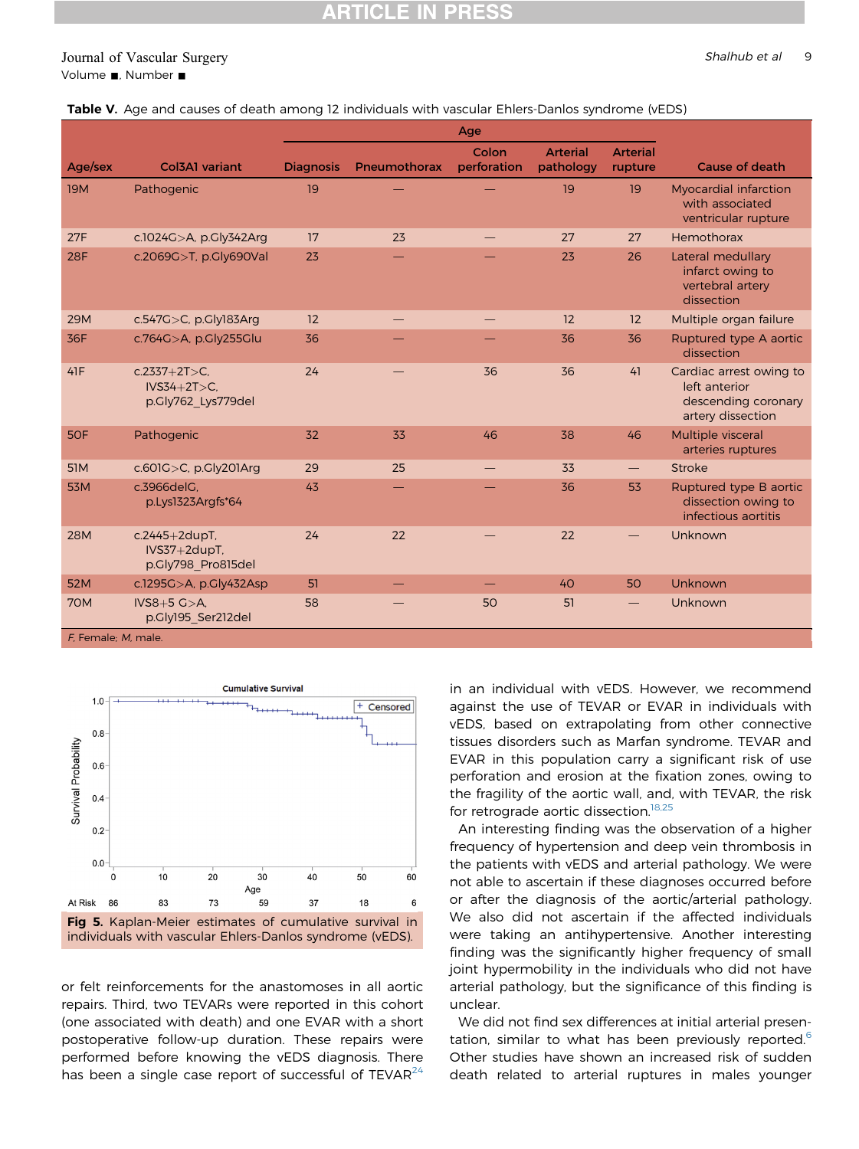#### <span id="page-8-0"></span>Journal of Vascular Surgery Shalhub et al 9 Volume **.**, Number **.**

| Table V. Age and causes of death among 12 individuals with vascular Ehlers-Danlos syndrome (vEDS) |  |  |
|---------------------------------------------------------------------------------------------------|--|--|
|---------------------------------------------------------------------------------------------------|--|--|

|                     |                                                        | Age              |                   |                      |                              |                            |                                                                                      |
|---------------------|--------------------------------------------------------|------------------|-------------------|----------------------|------------------------------|----------------------------|--------------------------------------------------------------------------------------|
| Age/sex             | Col3A1 variant                                         | <b>Diagnosis</b> | Pneumothorax      | Colon<br>perforation | <b>Arterial</b><br>pathology | <b>Arterial</b><br>rupture | Cause of death                                                                       |
| <b>19M</b>          | Pathogenic                                             | 19               |                   |                      | 19                           | 19                         | <b>Myocardial infarction</b><br>with associated<br>ventricular rupture               |
| 27F                 | c.1024G>A, p.Gly342Arg                                 | 17               | 23                |                      | 27                           | 27                         | Hemothorax                                                                           |
| <b>28F</b>          | c.2069G>T, p.Gly690Val                                 | 23               |                   |                      | 23                           | 26                         | Lateral medullary<br>infarct owing to<br>vertebral artery<br>dissection              |
| <b>29M</b>          | c.547G $>C$ , p.Gly183Arg                              | 12               | $\hspace{0.05cm}$ | $\hspace{0.05cm}$    | 12                           | 12                         | Multiple organ failure                                                               |
| 36F                 | c.764G>A, p.Gly255Glu                                  | 36               |                   |                      | 36                           | 36                         | Ruptured type A aortic<br>dissection                                                 |
| 41F                 | $c.2337+2T>C.$<br>$IVS34+2T>C.$<br>p.Gly762 Lys779del  | 24               |                   | 36                   | 36                           | 41                         | Cardiac arrest owing to<br>left anterior<br>descending coronary<br>artery dissection |
| 5OF                 | Pathogenic                                             | 32               | 33                | 46                   | 38                           | 46                         | Multiple visceral<br>arteries ruptures                                               |
| <b>51M</b>          | $c.601G>C$ , p.Gly201Arg                               | 29               | 25                |                      | 33                           |                            | <b>Stroke</b>                                                                        |
| <b>53M</b>          | c.3966delG.<br>p.Lys1323Argfs*64                       | 43               |                   |                      | 36                           | 53                         | Ruptured type B aortic<br>dissection owing to<br>infectious aortitis                 |
| <b>28M</b>          | $c.2445+2dupT$ ,<br>IVS37+2dupT.<br>p.Gly798 Pro815del | 24               | 22                |                      | 22                           |                            | Unknown                                                                              |
| 52M                 | c.1295G>A, p.Gly432Asp                                 | 51               |                   |                      | 40                           | 50                         | <b>Unknown</b>                                                                       |
| <b>70M</b>          | $IVS8+5 G > A.$<br>p.Gly195 Ser212del                  | 58               |                   | 50                   | 51                           |                            | Unknown                                                                              |
| F. Female: M. male. |                                                        |                  |                   |                      |                              |                            |                                                                                      |



or felt reinforcements for the anastomoses in all aortic repairs. Third, two TEVARs were reported in this cohort (one associated with death) and one EVAR with a short postoperative follow-up duration. These repairs were performed before knowing the vEDS diagnosis. There has been a single case report of successful of  $TEVAR<sup>24</sup>$  $TEVAR<sup>24</sup>$  $TEVAR<sup>24</sup>$  in an individual with vEDS. However, we recommend against the use of TEVAR or EVAR in individuals with vEDS, based on extrapolating from other connective tissues disorders such as Marfan syndrome. TEVAR and EVAR in this population carry a significant risk of use perforation and erosion at the fixation zones, owing to the fragility of the aortic wall, and, with TEVAR, the risk for retrograde aortic dissection.<sup>[18,25](#page-10-0)</sup>

An interesting finding was the observation of a higher frequency of hypertension and deep vein thrombosis in the patients with vEDS and arterial pathology. We were not able to ascertain if these diagnoses occurred before or after the diagnosis of the aortic/arterial pathology. We also did not ascertain if the affected individuals were taking an antihypertensive. Another interesting finding was the significantly higher frequency of small joint hypermobility in the individuals who did not have arterial pathology, but the significance of this finding is unclear.

We did not find sex differences at initial arterial presentation, similar to what has been previously reported. $6$ Other studies have shown an increased risk of sudden death related to arterial ruptures in males younger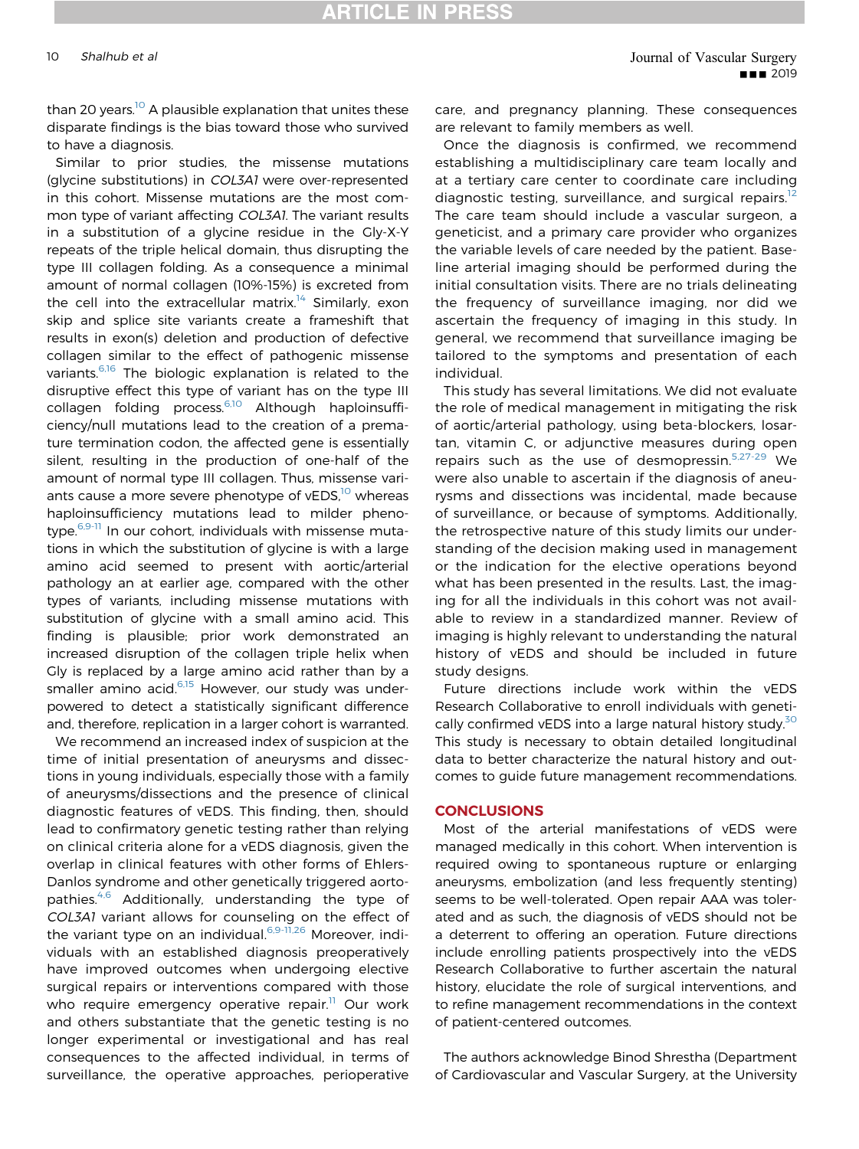than 20 years.<sup>[10](#page-10-0)</sup> A plausible explanation that unites these disparate findings is the bias toward those who survived to have a diagnosis.

Similar to prior studies, the missense mutations (glycine substitutions) in COL3A1 were over-represented in this cohort. Missense mutations are the most common type of variant affecting COL3A1. The variant results in a substitution of a glycine residue in the Gly-X-Y repeats of the triple helical domain, thus disrupting the type III collagen folding. As a consequence a minimal amount of normal collagen (10%-15%) is excreted from the cell into the extracellular matrix.<sup>[14](#page-10-0)</sup> Similarly, exon skip and splice site variants create a frameshift that results in exon(s) deletion and production of defective collagen similar to the effect of pathogenic missense variants.<sup>[6,16](#page-10-0)</sup> The biologic explanation is related to the disruptive effect this type of variant has on the type III collagen folding process.<sup>[6,10](#page-10-0)</sup> Although haploinsufficiency/null mutations lead to the creation of a premature termination codon, the affected gene is essentially silent, resulting in the production of one-half of the amount of normal type III collagen. Thus, missense variants cause a more severe phenotype of  $vEDS$ ,<sup>[10](#page-10-0)</sup> whereas haploinsufficiency mutations lead to milder pheno-type.<sup>[6,9-11](#page-10-0)</sup> In our cohort, individuals with missense mutations in which the substitution of glycine is with a large amino acid seemed to present with aortic/arterial pathology an at earlier age, compared with the other types of variants, including missense mutations with substitution of glycine with a small amino acid. This finding is plausible; prior work demonstrated an increased disruption of the collagen triple helix when Gly is replaced by a large amino acid rather than by a smaller amino acid.<sup>[6,15](#page-10-0)</sup> However, our study was underpowered to detect a statistically significant difference and, therefore, replication in a larger cohort is warranted.

We recommend an increased index of suspicion at the time of initial presentation of aneurysms and dissections in young individuals, especially those with a family of aneurysms/dissections and the presence of clinical diagnostic features of vEDS. This finding, then, should lead to confirmatory genetic testing rather than relying on clinical criteria alone for a vEDS diagnosis, given the overlap in clinical features with other forms of Ehlers-Danlos syndrome and other genetically triggered aorto-pathies.<sup>[4,6](#page-10-0)</sup> Additionally, understanding the type of COL3A1 variant allows for counseling on the effect of the variant type on an individual.<sup>[6,9-11,26](#page-10-0)</sup> Moreover, individuals with an established diagnosis preoperatively have improved outcomes when undergoing elective surgical repairs or interventions compared with those who require emergency operative repair.<sup>[11](#page-10-0)</sup> Our work and others substantiate that the genetic testing is no longer experimental or investigational and has real consequences to the affected individual, in terms of surveillance, the operative approaches, perioperative

care, and pregnancy planning. These consequences are relevant to family members as well.

Once the diagnosis is confirmed, we recommend establishing a multidisciplinary care team locally and at a tertiary care center to coordinate care including diagnostic testing, surveillance, and surgical repairs.<sup>[12](#page-10-0)</sup> The care team should include a vascular surgeon, a geneticist, and a primary care provider who organizes the variable levels of care needed by the patient. Baseline arterial imaging should be performed during the initial consultation visits. There are no trials delineating the frequency of surveillance imaging, nor did we ascertain the frequency of imaging in this study. In general, we recommend that surveillance imaging be tailored to the symptoms and presentation of each individual.

This study has several limitations. We did not evaluate the role of medical management in mitigating the risk of aortic/arterial pathology, using beta-blockers, losartan, vitamin C, or adjunctive measures during open repairs such as the use of desmopressin.<sup>[5,27-29](#page-10-0)</sup> We were also unable to ascertain if the diagnosis of aneurysms and dissections was incidental, made because of surveillance, or because of symptoms. Additionally, the retrospective nature of this study limits our understanding of the decision making used in management or the indication for the elective operations beyond what has been presented in the results. Last, the imaging for all the individuals in this cohort was not available to review in a standardized manner. Review of imaging is highly relevant to understanding the natural history of vEDS and should be included in future study designs.

Future directions include work within the vEDS Research Collaborative to enroll individuals with geneti-cally confirmed vEDS into a large natural history study.<sup>[30](#page-11-0)</sup> This study is necessary to obtain detailed longitudinal data to better characterize the natural history and outcomes to guide future management recommendations.

#### **CONCLUSIONS**

Most of the arterial manifestations of vEDS were managed medically in this cohort. When intervention is required owing to spontaneous rupture or enlarging aneurysms, embolization (and less frequently stenting) seems to be well-tolerated. Open repair AAA was tolerated and as such, the diagnosis of vEDS should not be a deterrent to offering an operation. Future directions include enrolling patients prospectively into the vEDS Research Collaborative to further ascertain the natural history, elucidate the role of surgical interventions, and to refine management recommendations in the context of patient-centered outcomes.

The authors acknowledge Binod Shrestha (Department of Cardiovascular and Vascular Surgery, at the University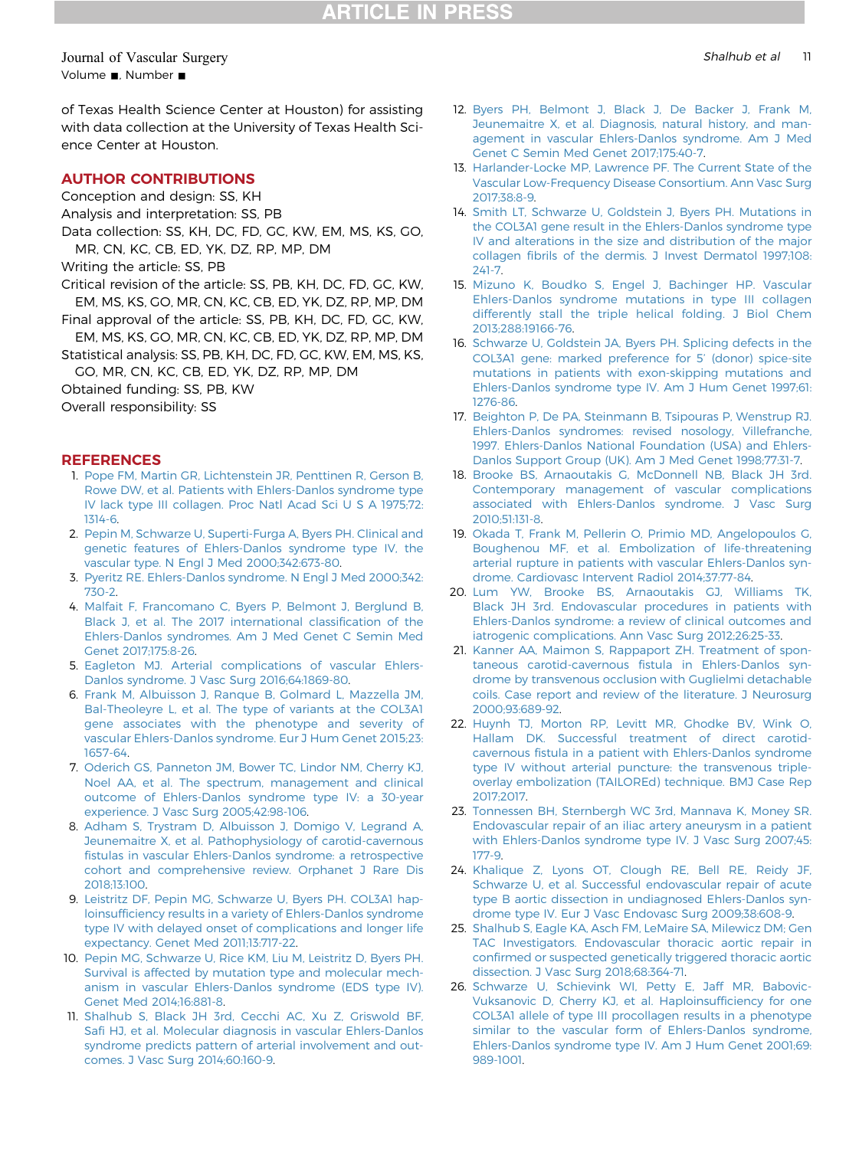### <span id="page-10-0"></span>Journal of Vascular Surgery Shalhub et al 2011 and 2012 11 Shalhub et al 2012 11 Shalhub et al 2012 11 July 201 Volume , Number  $\blacksquare$

of Texas Health Science Center at Houston) for assisting with data collection at the University of Texas Health Science Center at Houston.

### AUTHOR CONTRIBUTIONS

- Conception and design: SS, KH
- Analysis and interpretation: SS, PB

Data collection: SS, KH, DC, FD, GC, KW, EM, MS, KS, GO, MR, CN, KC, CB, ED, YK, DZ, RP, MP, DM

Writing the article: SS, PB

- Critical revision of the article: SS, PB, KH, DC, FD, GC, KW, EM, MS, KS, GO, MR, CN, KC, CB, ED, YK, DZ, RP, MP, DM
- Final approval of the article: SS, PB, KH, DC, FD, GC, KW, EM, MS, KS, GO, MR, CN, KC, CB, ED, YK, DZ, RP, MP, DM
- Statistical analysis: SS, PB, KH, DC, FD, GC, KW, EM, MS, KS,

GO, MR, CN, KC, CB, ED, YK, DZ, RP, MP, DM

Obtained funding: SS, PB, KW

Overall responsibility: SS

#### **REFERENCES**

- 1. [Pope FM, Martin GR, Lichtenstein JR, Penttinen R, Gerson B,](http://refhub.elsevier.com/S0741-5214(19)30337-4/sref1) [Rowe DW, et al. Patients with Ehlers-Danlos syndrome type](http://refhub.elsevier.com/S0741-5214(19)30337-4/sref1) [IV lack type III collagen. Proc Natl Acad Sci U S A 1975;72:](http://refhub.elsevier.com/S0741-5214(19)30337-4/sref1) [1314-6](http://refhub.elsevier.com/S0741-5214(19)30337-4/sref1).
- 2. [Pepin M, Schwarze U, Superti-Furga A, Byers PH. Clinical and](http://refhub.elsevier.com/S0741-5214(19)30337-4/sref2) [genetic features of Ehlers-Danlos syndrome type IV, the](http://refhub.elsevier.com/S0741-5214(19)30337-4/sref2) [vascular type. N Engl J Med 2000;342:673-80](http://refhub.elsevier.com/S0741-5214(19)30337-4/sref2).
- 3. [Pyeritz RE. Ehlers-Danlos syndrome. N Engl J Med 2000;342:](http://refhub.elsevier.com/S0741-5214(19)30337-4/sref3) [730-2.](http://refhub.elsevier.com/S0741-5214(19)30337-4/sref3)
- 4. [Malfait F, Francomano C, Byers P, Belmont J, Berglund B,](http://refhub.elsevier.com/S0741-5214(19)30337-4/sref4) [Black J, et al. The 2017 international classi](http://refhub.elsevier.com/S0741-5214(19)30337-4/sref4)fication of the [Ehlers-Danlos syndromes. Am J Med Genet C Semin Med](http://refhub.elsevier.com/S0741-5214(19)30337-4/sref4) [Genet 2017;175:8-26.](http://refhub.elsevier.com/S0741-5214(19)30337-4/sref4)
- 5. [Eagleton MJ. Arterial complications of vascular Ehlers-](http://refhub.elsevier.com/S0741-5214(19)30337-4/sref5)[Danlos syndrome. J Vasc Surg 2016;64:1869-80](http://refhub.elsevier.com/S0741-5214(19)30337-4/sref5).
- 6. [Frank M, Albuisson J, Ranque B, Golmard L, Mazzella JM,](http://refhub.elsevier.com/S0741-5214(19)30337-4/sref6) [Bal-Theoleyre L, et al. The type of variants at the COL3A1](http://refhub.elsevier.com/S0741-5214(19)30337-4/sref6) [gene associates with the phenotype and severity of](http://refhub.elsevier.com/S0741-5214(19)30337-4/sref6) [vascular Ehlers-Danlos syndrome. Eur J Hum Genet 2015;23:](http://refhub.elsevier.com/S0741-5214(19)30337-4/sref6) [1657-64.](http://refhub.elsevier.com/S0741-5214(19)30337-4/sref6)
- 7. [Oderich GS, Panneton JM, Bower TC, Lindor NM, Cherry KJ,](http://refhub.elsevier.com/S0741-5214(19)30337-4/sref7) [Noel AA, et al. The spectrum, management and clinical](http://refhub.elsevier.com/S0741-5214(19)30337-4/sref7) [outcome of Ehlers-Danlos syndrome type IV: a 30-year](http://refhub.elsevier.com/S0741-5214(19)30337-4/sref7) [experience. J Vasc Surg 2005;42:98-106.](http://refhub.elsevier.com/S0741-5214(19)30337-4/sref7)
- 8. [Adham S, Trystram D, Albuisson J, Domigo V, Legrand A,](http://refhub.elsevier.com/S0741-5214(19)30337-4/sref8) [Jeunemaitre X, et al. Pathophysiology of carotid-cavernous](http://refhub.elsevier.com/S0741-5214(19)30337-4/sref8) fi[stulas in vascular Ehlers-Danlos syndrome: a retrospective](http://refhub.elsevier.com/S0741-5214(19)30337-4/sref8) [cohort and comprehensive review. Orphanet J Rare Dis](http://refhub.elsevier.com/S0741-5214(19)30337-4/sref8) [2018;13:100.](http://refhub.elsevier.com/S0741-5214(19)30337-4/sref8)
- 9. [Leistritz DF, Pepin MG, Schwarze U, Byers PH. COL3A1 hap](http://refhub.elsevier.com/S0741-5214(19)30337-4/sref9)loinsuffi[ciency results in a variety of Ehlers-Danlos syndrome](http://refhub.elsevier.com/S0741-5214(19)30337-4/sref9) [type IV with delayed onset of complications and longer life](http://refhub.elsevier.com/S0741-5214(19)30337-4/sref9) [expectancy. Genet Med 2011;13:717-22](http://refhub.elsevier.com/S0741-5214(19)30337-4/sref9).
- 10. [Pepin MG, Schwarze U, Rice KM, Liu M, Leistritz D, Byers PH.](http://refhub.elsevier.com/S0741-5214(19)30337-4/sref10) [Survival is affected by mutation type and molecular mech](http://refhub.elsevier.com/S0741-5214(19)30337-4/sref10)[anism in vascular Ehlers-Danlos syndrome \(EDS type IV\).](http://refhub.elsevier.com/S0741-5214(19)30337-4/sref10) [Genet Med 2014;16:881-8.](http://refhub.elsevier.com/S0741-5214(19)30337-4/sref10)
- 11. [Shalhub S, Black JH 3rd, Cecchi AC, Xu Z, Griswold BF,](http://refhub.elsevier.com/S0741-5214(19)30337-4/sref11) Safi [HJ, et al. Molecular diagnosis in vascular Ehlers-Danlos](http://refhub.elsevier.com/S0741-5214(19)30337-4/sref11) [syndrome predicts pattern of arterial involvement and out](http://refhub.elsevier.com/S0741-5214(19)30337-4/sref11)[comes. J Vasc Surg 2014;60:160-9.](http://refhub.elsevier.com/S0741-5214(19)30337-4/sref11)
- 12. [Byers PH, Belmont J, Black J, De Backer J, Frank M,](http://refhub.elsevier.com/S0741-5214(19)30337-4/sref12) [Jeunemaitre X, et al. Diagnosis, natural history, and man](http://refhub.elsevier.com/S0741-5214(19)30337-4/sref12)[agement in vascular Ehlers-Danlos syndrome. Am J Med](http://refhub.elsevier.com/S0741-5214(19)30337-4/sref12) [Genet C Semin Med Genet 2017;175:40-7](http://refhub.elsevier.com/S0741-5214(19)30337-4/sref12).
- 13. [Harlander-Locke MP, Lawrence PF. The Current State of the](http://refhub.elsevier.com/S0741-5214(19)30337-4/sref13) [Vascular Low-Frequency Disease Consortium. Ann Vasc Surg](http://refhub.elsevier.com/S0741-5214(19)30337-4/sref13) [2017;38:8-9.](http://refhub.elsevier.com/S0741-5214(19)30337-4/sref13)
- 14. [Smith LT, Schwarze U, Goldstein J, Byers PH. Mutations in](http://refhub.elsevier.com/S0741-5214(19)30337-4/sref14) [the COL3A1 gene result in the Ehlers-Danlos syndrome type](http://refhub.elsevier.com/S0741-5214(19)30337-4/sref14) [IV and alterations in the size and distribution of the major](http://refhub.elsevier.com/S0741-5214(19)30337-4/sref14) collagen fi[brils of the dermis. J Invest Dermatol 1997;108:](http://refhub.elsevier.com/S0741-5214(19)30337-4/sref14) [241-7](http://refhub.elsevier.com/S0741-5214(19)30337-4/sref14).
- 15. [Mizuno K, Boudko S, Engel J, Bachinger HP. Vascular](http://refhub.elsevier.com/S0741-5214(19)30337-4/sref15) [Ehlers-Danlos syndrome mutations in type III collagen](http://refhub.elsevier.com/S0741-5214(19)30337-4/sref15) [differently stall the triple helical folding. J Biol Chem](http://refhub.elsevier.com/S0741-5214(19)30337-4/sref15) [2013;288:19166-76.](http://refhub.elsevier.com/S0741-5214(19)30337-4/sref15)
- 16. [Schwarze U, Goldstein JA, Byers PH. Splicing defects in the](http://refhub.elsevier.com/S0741-5214(19)30337-4/sref16) [COL3A1 gene: marked preference for 5](http://refhub.elsevier.com/S0741-5214(19)30337-4/sref16)' (donor) spice-site [mutations in patients with exon-skipping mutations and](http://refhub.elsevier.com/S0741-5214(19)30337-4/sref16) [Ehlers-Danlos syndrome type IV. Am J Hum Genet 1997;61:](http://refhub.elsevier.com/S0741-5214(19)30337-4/sref16) [1276-86.](http://refhub.elsevier.com/S0741-5214(19)30337-4/sref16)
- 17. [Beighton P, De PA, Steinmann B, Tsipouras P, Wenstrup RJ.](http://refhub.elsevier.com/S0741-5214(19)30337-4/sref17) [Ehlers-Danlos syndromes: revised nosology, Villefranche,](http://refhub.elsevier.com/S0741-5214(19)30337-4/sref17) [1997. Ehlers-Danlos National Foundation \(USA\) and Ehlers-](http://refhub.elsevier.com/S0741-5214(19)30337-4/sref17)[Danlos Support Group \(UK\). Am J Med Genet 1998;77:31-7](http://refhub.elsevier.com/S0741-5214(19)30337-4/sref17).
- 18. [Brooke BS, Arnaoutakis G, McDonnell NB, Black JH 3rd.](http://refhub.elsevier.com/S0741-5214(19)30337-4/sref18) [Contemporary management of vascular complications](http://refhub.elsevier.com/S0741-5214(19)30337-4/sref18) [associated with Ehlers-Danlos syndrome. J Vasc Surg](http://refhub.elsevier.com/S0741-5214(19)30337-4/sref18) [2010;51:131-8](http://refhub.elsevier.com/S0741-5214(19)30337-4/sref18).
- 19. [Okada T, Frank M, Pellerin O, Primio MD, Angelopoulos G,](http://refhub.elsevier.com/S0741-5214(19)30337-4/sref19) [Boughenou MF, et al. Embolization of life-threatening](http://refhub.elsevier.com/S0741-5214(19)30337-4/sref19) [arterial rupture in patients with vascular Ehlers-Danlos syn](http://refhub.elsevier.com/S0741-5214(19)30337-4/sref19)[drome. Cardiovasc Intervent Radiol 2014;37:77-84](http://refhub.elsevier.com/S0741-5214(19)30337-4/sref19).
- 20. [Lum YW, Brooke BS, Arnaoutakis GJ, Williams TK,](http://refhub.elsevier.com/S0741-5214(19)30337-4/sref20) [Black JH 3rd. Endovascular procedures in patients with](http://refhub.elsevier.com/S0741-5214(19)30337-4/sref20) [Ehlers-Danlos syndrome: a review of clinical outcomes and](http://refhub.elsevier.com/S0741-5214(19)30337-4/sref20) [iatrogenic complications. Ann Vasc Surg 2012;26:25-33.](http://refhub.elsevier.com/S0741-5214(19)30337-4/sref20)
- 21. [Kanner AA, Maimon S, Rappaport ZH. Treatment of spon](http://refhub.elsevier.com/S0741-5214(19)30337-4/sref21)taneous carotid-cavernous fi[stula in Ehlers-Danlos syn](http://refhub.elsevier.com/S0741-5214(19)30337-4/sref21)[drome by transvenous occlusion with Guglielmi detachable](http://refhub.elsevier.com/S0741-5214(19)30337-4/sref21) [coils. Case report and review of the literature. J Neurosurg](http://refhub.elsevier.com/S0741-5214(19)30337-4/sref21) [2000;93:689-92](http://refhub.elsevier.com/S0741-5214(19)30337-4/sref21).
- 22. [Huynh TJ, Morton RP, Levitt MR, Ghodke BV, Wink O,](http://refhub.elsevier.com/S0741-5214(19)30337-4/sref22) [Hallam DK. Successful treatment of direct carotid](http://refhub.elsevier.com/S0741-5214(19)30337-4/sref22)cavernous fi[stula in a patient with Ehlers-Danlos syndrome](http://refhub.elsevier.com/S0741-5214(19)30337-4/sref22) [type IV without arterial puncture: the transvenous triple](http://refhub.elsevier.com/S0741-5214(19)30337-4/sref22)[overlay embolization \(TAILOREd\) technique. BMJ Case Rep](http://refhub.elsevier.com/S0741-5214(19)30337-4/sref22) [2017;2017](http://refhub.elsevier.com/S0741-5214(19)30337-4/sref22).
- 23. [Tonnessen BH, Sternbergh WC 3rd, Mannava K, Money SR.](http://refhub.elsevier.com/S0741-5214(19)30337-4/sref23) [Endovascular repair of an iliac artery aneurysm in a patient](http://refhub.elsevier.com/S0741-5214(19)30337-4/sref23) [with Ehlers-Danlos syndrome type IV. J Vasc Surg 2007;45:](http://refhub.elsevier.com/S0741-5214(19)30337-4/sref23) [177-9](http://refhub.elsevier.com/S0741-5214(19)30337-4/sref23).
- 24. [Khalique Z, Lyons OT, Clough RE, Bell RE, Reidy JF,](http://refhub.elsevier.com/S0741-5214(19)30337-4/sref24) [Schwarze U, et al. Successful endovascular repair of acute](http://refhub.elsevier.com/S0741-5214(19)30337-4/sref24) [type B aortic dissection in undiagnosed Ehlers-Danlos syn](http://refhub.elsevier.com/S0741-5214(19)30337-4/sref24)[drome type IV. Eur J Vasc Endovasc Surg 2009;38:608-9](http://refhub.elsevier.com/S0741-5214(19)30337-4/sref24).
- 25. [Shalhub S, Eagle KA, Asch FM, LeMaire SA, Milewicz DM; Gen](http://refhub.elsevier.com/S0741-5214(19)30337-4/sref25) [TAC Investigators. Endovascular thoracic aortic repair in](http://refhub.elsevier.com/S0741-5214(19)30337-4/sref25) confi[rmed or suspected genetically triggered thoracic aortic](http://refhub.elsevier.com/S0741-5214(19)30337-4/sref25) [dissection. J Vasc Surg 2018;68:364-71](http://refhub.elsevier.com/S0741-5214(19)30337-4/sref25).
- 26. [Schwarze U, Schievink WI, Petty E, Jaff MR, Babovic-](http://refhub.elsevier.com/S0741-5214(19)30337-4/sref26)[Vuksanovic D, Cherry KJ, et al. Haploinsuf](http://refhub.elsevier.com/S0741-5214(19)30337-4/sref26)ficiency for one [COL3A1 allele of type III procollagen results in a phenotype](http://refhub.elsevier.com/S0741-5214(19)30337-4/sref26) [similar to the vascular form of Ehlers-Danlos syndrome,](http://refhub.elsevier.com/S0741-5214(19)30337-4/sref26) [Ehlers-Danlos syndrome type IV. Am J Hum Genet 2001;69:](http://refhub.elsevier.com/S0741-5214(19)30337-4/sref26) [989-1001.](http://refhub.elsevier.com/S0741-5214(19)30337-4/sref26)